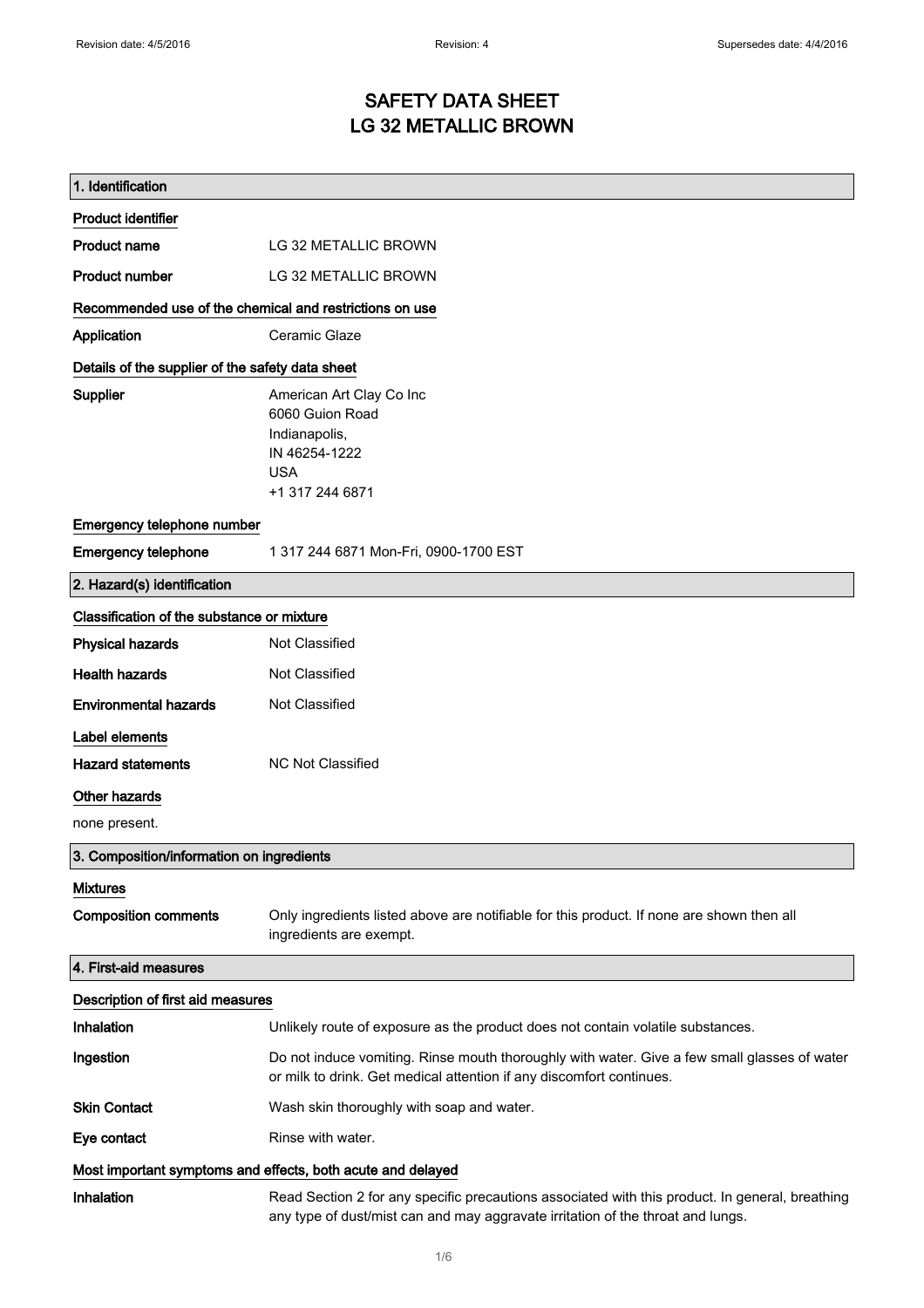## SAFETY DATA SHEET LG 32 METALLIC BROWN

| 1. Identification                                           |                                                                                                                                                                                    |
|-------------------------------------------------------------|------------------------------------------------------------------------------------------------------------------------------------------------------------------------------------|
| <b>Product identifier</b>                                   |                                                                                                                                                                                    |
| <b>Product name</b>                                         | LG 32 METALLIC BROWN                                                                                                                                                               |
| <b>Product number</b>                                       | LG 32 METALLIC BROWN                                                                                                                                                               |
| Recommended use of the chemical and restrictions on use     |                                                                                                                                                                                    |
| Application                                                 | Ceramic Glaze                                                                                                                                                                      |
| Details of the supplier of the safety data sheet            |                                                                                                                                                                                    |
| Supplier                                                    | American Art Clay Co Inc<br>6060 Guion Road<br>Indianapolis,<br>IN 46254-1222<br><b>USA</b><br>+1 317 244 6871                                                                     |
| Emergency telephone number                                  |                                                                                                                                                                                    |
| <b>Emergency telephone</b>                                  | 1 317 244 6871 Mon-Fri, 0900-1700 EST                                                                                                                                              |
| 2. Hazard(s) identification                                 |                                                                                                                                                                                    |
| Classification of the substance or mixture                  |                                                                                                                                                                                    |
| <b>Physical hazards</b>                                     | Not Classified                                                                                                                                                                     |
| <b>Health hazards</b>                                       | Not Classified                                                                                                                                                                     |
| <b>Environmental hazards</b>                                | Not Classified                                                                                                                                                                     |
| Label elements                                              |                                                                                                                                                                                    |
| <b>Hazard statements</b>                                    | <b>NC Not Classified</b>                                                                                                                                                           |
| Other hazards                                               |                                                                                                                                                                                    |
| none present.                                               |                                                                                                                                                                                    |
| 3. Composition/information on ingredients                   |                                                                                                                                                                                    |
| <b>Mixtures</b>                                             |                                                                                                                                                                                    |
| <b>Composition comments</b>                                 | Only ingredients listed above are notifiable for this product. If none are shown then all<br>ingredients are exempt.                                                               |
| 4. First-aid measures                                       |                                                                                                                                                                                    |
| Description of first aid measures                           |                                                                                                                                                                                    |
| Inhalation                                                  | Unlikely route of exposure as the product does not contain volatile substances.                                                                                                    |
| Ingestion                                                   | Do not induce vomiting. Rinse mouth thoroughly with water. Give a few small glasses of water<br>or milk to drink. Get medical attention if any discomfort continues.               |
| <b>Skin Contact</b>                                         | Wash skin thoroughly with soap and water.                                                                                                                                          |
| Eye contact                                                 | Rinse with water.                                                                                                                                                                  |
| Most important symptoms and effects, both acute and delayed |                                                                                                                                                                                    |
| Inhalation                                                  | Read Section 2 for any specific precautions associated with this product. In general, breathing<br>any type of dust/mist can and may aggravate irritation of the throat and lungs. |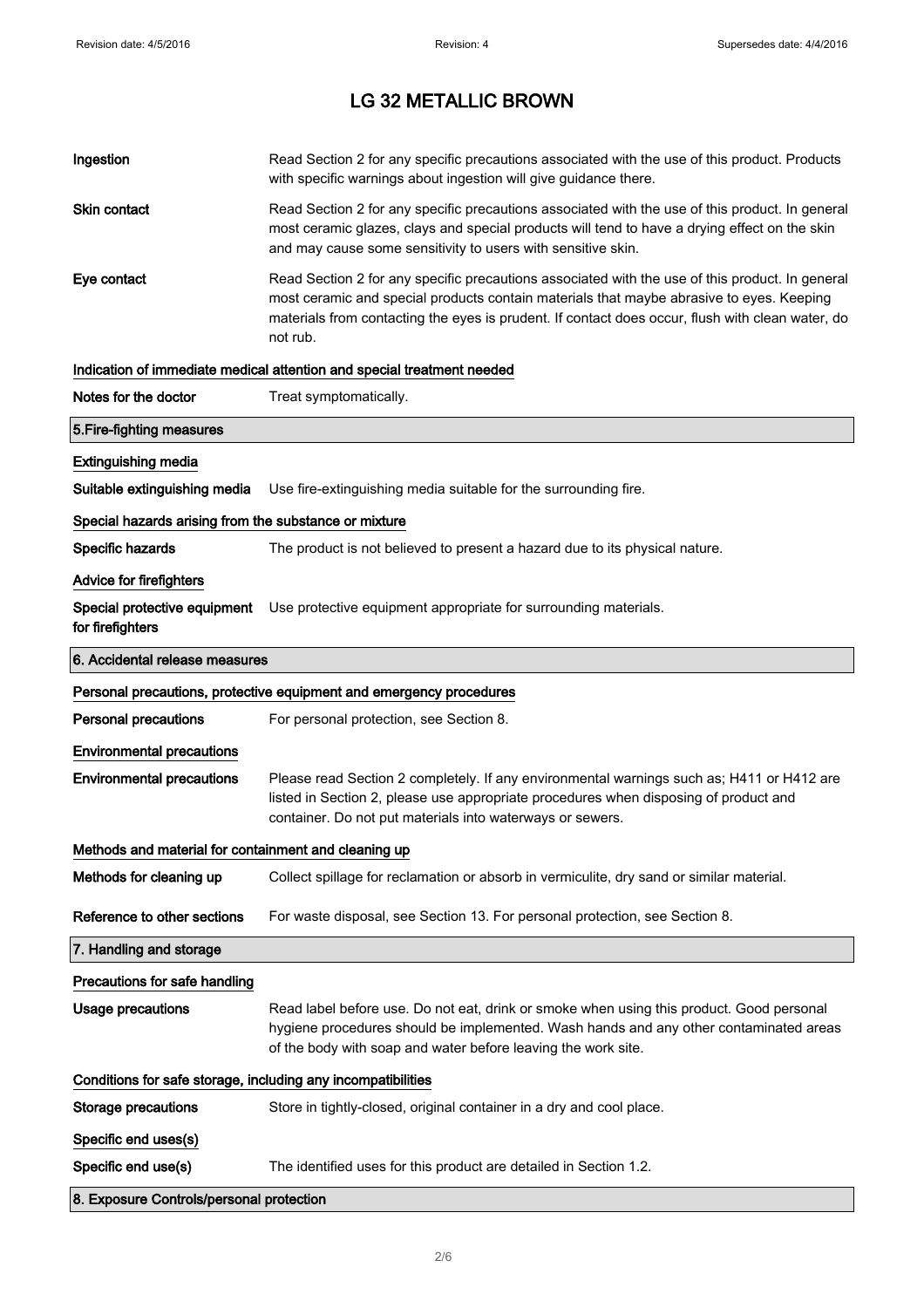| Ingestion                                                    | Read Section 2 for any specific precautions associated with the use of this product. Products<br>with specific warnings about ingestion will give guidance there.                                                                                                                                           |  |
|--------------------------------------------------------------|-------------------------------------------------------------------------------------------------------------------------------------------------------------------------------------------------------------------------------------------------------------------------------------------------------------|--|
| Skin contact                                                 | Read Section 2 for any specific precautions associated with the use of this product. In general<br>most ceramic glazes, clays and special products will tend to have a drying effect on the skin<br>and may cause some sensitivity to users with sensitive skin.                                            |  |
| Eye contact                                                  | Read Section 2 for any specific precautions associated with the use of this product. In general<br>most ceramic and special products contain materials that maybe abrasive to eyes. Keeping<br>materials from contacting the eyes is prudent. If contact does occur, flush with clean water, do<br>not rub. |  |
|                                                              | Indication of immediate medical attention and special treatment needed                                                                                                                                                                                                                                      |  |
| Notes for the doctor                                         | Treat symptomatically.                                                                                                                                                                                                                                                                                      |  |
| 5. Fire-fighting measures                                    |                                                                                                                                                                                                                                                                                                             |  |
| <b>Extinguishing media</b>                                   |                                                                                                                                                                                                                                                                                                             |  |
| Suitable extinguishing media                                 | Use fire-extinguishing media suitable for the surrounding fire.                                                                                                                                                                                                                                             |  |
| Special hazards arising from the substance or mixture        |                                                                                                                                                                                                                                                                                                             |  |
| Specific hazards                                             | The product is not believed to present a hazard due to its physical nature.                                                                                                                                                                                                                                 |  |
| Advice for firefighters                                      |                                                                                                                                                                                                                                                                                                             |  |
| Special protective equipment<br>for firefighters             | Use protective equipment appropriate for surrounding materials.                                                                                                                                                                                                                                             |  |
| 6. Accidental release measures                               |                                                                                                                                                                                                                                                                                                             |  |
|                                                              | Personal precautions, protective equipment and emergency procedures                                                                                                                                                                                                                                         |  |
| <b>Personal precautions</b>                                  | For personal protection, see Section 8.                                                                                                                                                                                                                                                                     |  |
| <b>Environmental precautions</b>                             |                                                                                                                                                                                                                                                                                                             |  |
| <b>Environmental precautions</b>                             | Please read Section 2 completely. If any environmental warnings such as; H411 or H412 are<br>listed in Section 2, please use appropriate procedures when disposing of product and<br>container. Do not put materials into waterways or sewers.                                                              |  |
| Methods and material for containment and cleaning up         |                                                                                                                                                                                                                                                                                                             |  |
| Methods for cleaning up                                      | Collect spillage for reclamation or absorb in vermiculite, dry sand or similar material.                                                                                                                                                                                                                    |  |
| Reference to other sections                                  | For waste disposal, see Section 13. For personal protection, see Section 8.                                                                                                                                                                                                                                 |  |
| 7. Handling and storage                                      |                                                                                                                                                                                                                                                                                                             |  |
| Precautions for safe handling                                |                                                                                                                                                                                                                                                                                                             |  |
| <b>Usage precautions</b>                                     | Read label before use. Do not eat, drink or smoke when using this product. Good personal<br>hygiene procedures should be implemented. Wash hands and any other contaminated areas<br>of the body with soap and water before leaving the work site.                                                          |  |
| Conditions for safe storage, including any incompatibilities |                                                                                                                                                                                                                                                                                                             |  |
| <b>Storage precautions</b>                                   | Store in tightly-closed, original container in a dry and cool place.                                                                                                                                                                                                                                        |  |
| Specific end uses(s)                                         |                                                                                                                                                                                                                                                                                                             |  |
| Specific end use(s)                                          | The identified uses for this product are detailed in Section 1.2.                                                                                                                                                                                                                                           |  |
| 8. Exposure Controls/personal protection                     |                                                                                                                                                                                                                                                                                                             |  |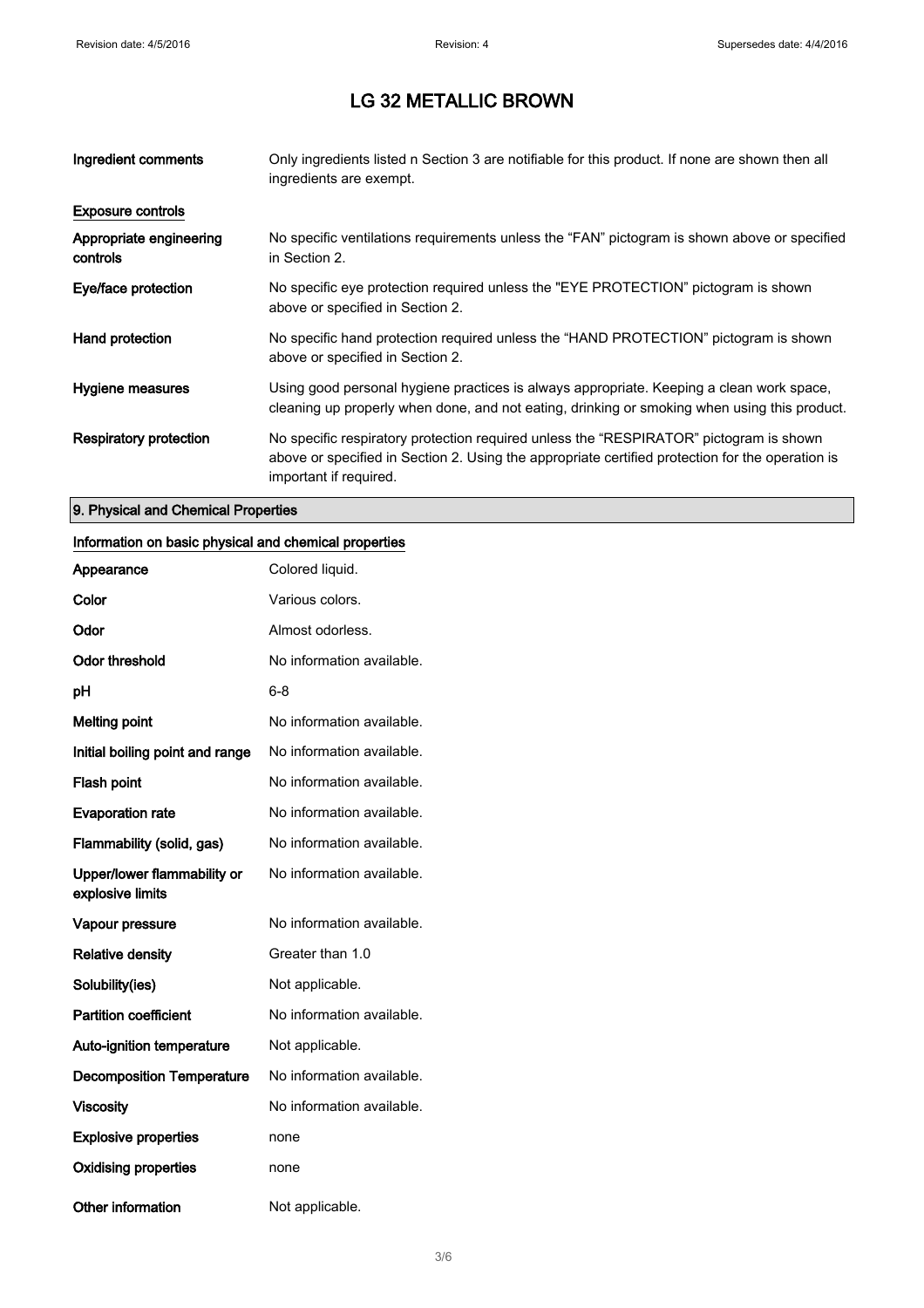| Ingredient comments                 | Only ingredients listed n Section 3 are notifiable for this product. If none are shown then all<br>ingredients are exempt.                                                                                           |
|-------------------------------------|----------------------------------------------------------------------------------------------------------------------------------------------------------------------------------------------------------------------|
| <b>Exposure controls</b>            |                                                                                                                                                                                                                      |
| Appropriate engineering<br>controls | No specific ventilations requirements unless the "FAN" pictogram is shown above or specified<br>in Section 2.                                                                                                        |
| Eye/face protection                 | No specific eye protection required unless the "EYE PROTECTION" pictogram is shown<br>above or specified in Section 2.                                                                                               |
| Hand protection                     | No specific hand protection required unless the "HAND PROTECTION" pictogram is shown<br>above or specified in Section 2.                                                                                             |
| Hygiene measures                    | Using good personal hygiene practices is always appropriate. Keeping a clean work space,<br>cleaning up properly when done, and not eating, drinking or smoking when using this product.                             |
| Respiratory protection              | No specific respiratory protection required unless the "RESPIRATOR" pictogram is shown<br>above or specified in Section 2. Using the appropriate certified protection for the operation is<br>important if required. |

### 9. Physical and Chemical Properties

### Information on basic physical and chemical properties

| Appearance                                      | Colored liquid.           |
|-------------------------------------------------|---------------------------|
| Color                                           | Various colors.           |
| Odor                                            | Almost odorless.          |
| <b>Odor threshold</b>                           | No information available. |
| рH                                              | 6-8                       |
| <b>Melting point</b>                            | No information available. |
| Initial boiling point and range                 | No information available. |
| Flash point                                     | No information available. |
| <b>Evaporation rate</b>                         | No information available. |
| Flammability (solid, gas)                       | No information available. |
| Upper/lower flammability or<br>explosive limits | No information available. |
| Vapour pressure                                 | No information available. |
| <b>Relative density</b>                         | Greater than 1.0          |
| Solubility(ies)                                 | Not applicable.           |
| <b>Partition coefficient</b>                    | No information available. |
| <b>Auto-ignition temperature</b>                | Not applicable.           |
| <b>Decomposition Temperature</b>                | No information available. |
| <b>Viscosity</b>                                | No information available. |
| <b>Explosive properties</b>                     | none                      |
| <b>Oxidising properties</b>                     | none                      |
| <b>Other information</b>                        | Not applicable.           |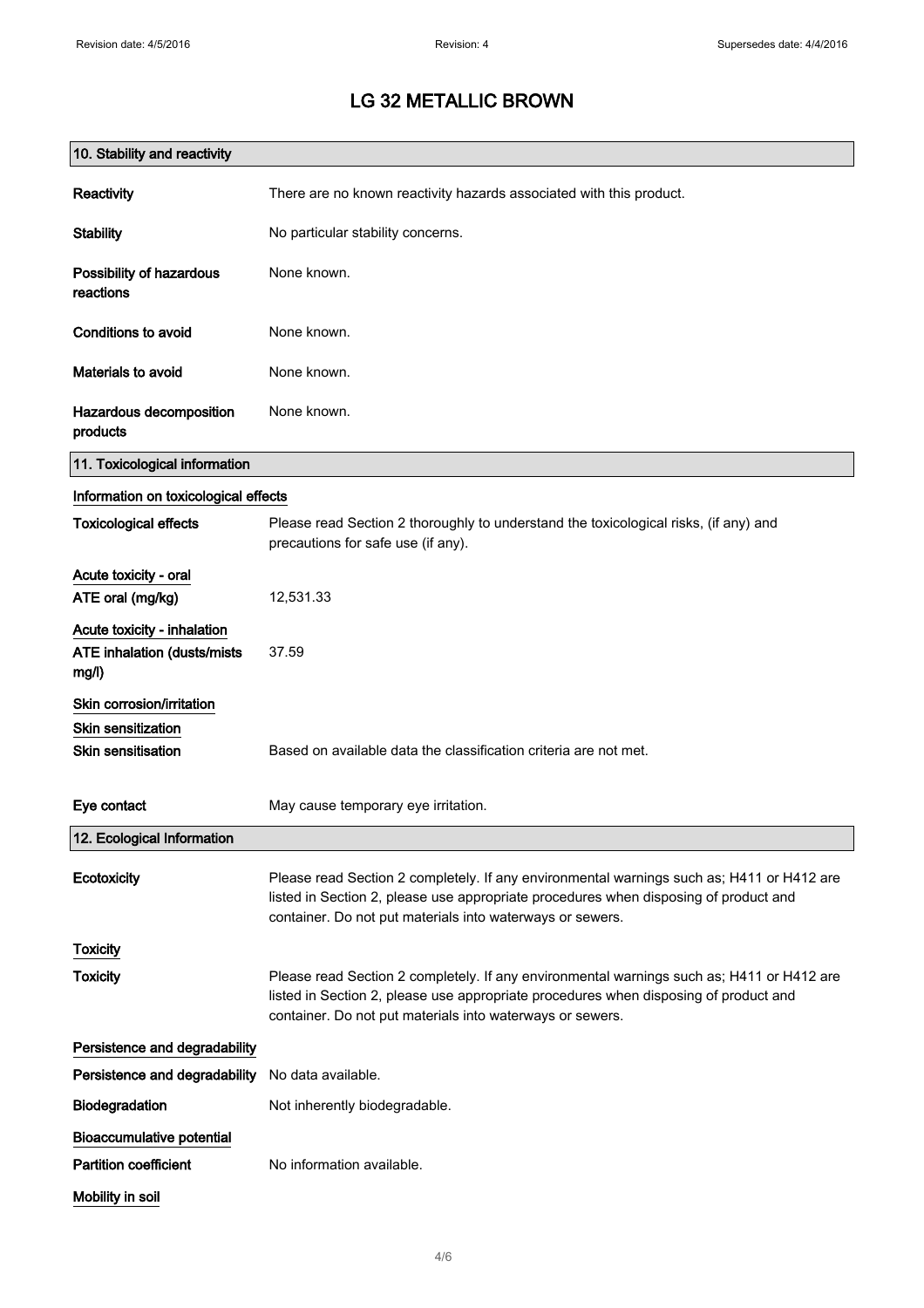| 10. Stability and reactivity                                        |                                                                                                                                                                                                                                                |
|---------------------------------------------------------------------|------------------------------------------------------------------------------------------------------------------------------------------------------------------------------------------------------------------------------------------------|
| Reactivity                                                          | There are no known reactivity hazards associated with this product.                                                                                                                                                                            |
| <b>Stability</b>                                                    | No particular stability concerns.                                                                                                                                                                                                              |
| Possibility of hazardous<br>reactions                               | None known.                                                                                                                                                                                                                                    |
| Conditions to avoid                                                 | None known.                                                                                                                                                                                                                                    |
| Materials to avoid                                                  | None known.                                                                                                                                                                                                                                    |
| Hazardous decomposition<br>products                                 | None known.                                                                                                                                                                                                                                    |
| 11. Toxicological information                                       |                                                                                                                                                                                                                                                |
| Information on toxicological effects                                |                                                                                                                                                                                                                                                |
| <b>Toxicological effects</b>                                        | Please read Section 2 thoroughly to understand the toxicological risks, (if any) and<br>precautions for safe use (if any).                                                                                                                     |
| Acute toxicity - oral                                               |                                                                                                                                                                                                                                                |
| ATE oral (mg/kg)                                                    | 12,531.33                                                                                                                                                                                                                                      |
| Acute toxicity - inhalation<br>ATE inhalation (dusts/mists<br>mg/l) | 37.59                                                                                                                                                                                                                                          |
| Skin corrosion/irritation                                           |                                                                                                                                                                                                                                                |
| <b>Skin sensitization</b><br><b>Skin sensitisation</b>              | Based on available data the classification criteria are not met.                                                                                                                                                                               |
| Eye contact                                                         | May cause temporary eye irritation.                                                                                                                                                                                                            |
| 12. Ecological Information                                          |                                                                                                                                                                                                                                                |
| Ecotoxicity                                                         | Please read Section 2 completely. If any environmental warnings such as; H411 or H412 are<br>listed in Section 2, please use appropriate procedures when disposing of product and<br>container. Do not put materials into waterways or sewers. |
| <b>Toxicity</b>                                                     |                                                                                                                                                                                                                                                |
| <b>Toxicity</b>                                                     | Please read Section 2 completely. If any environmental warnings such as; H411 or H412 are<br>listed in Section 2, please use appropriate procedures when disposing of product and<br>container. Do not put materials into waterways or sewers. |
| Persistence and degradability                                       |                                                                                                                                                                                                                                                |
| Persistence and degradability                                       | No data available.                                                                                                                                                                                                                             |
| Biodegradation                                                      | Not inherently biodegradable.                                                                                                                                                                                                                  |
| <b>Bioaccumulative potential</b>                                    |                                                                                                                                                                                                                                                |
| <b>Partition coefficient</b>                                        | No information available.                                                                                                                                                                                                                      |
| Mobility in soil                                                    |                                                                                                                                                                                                                                                |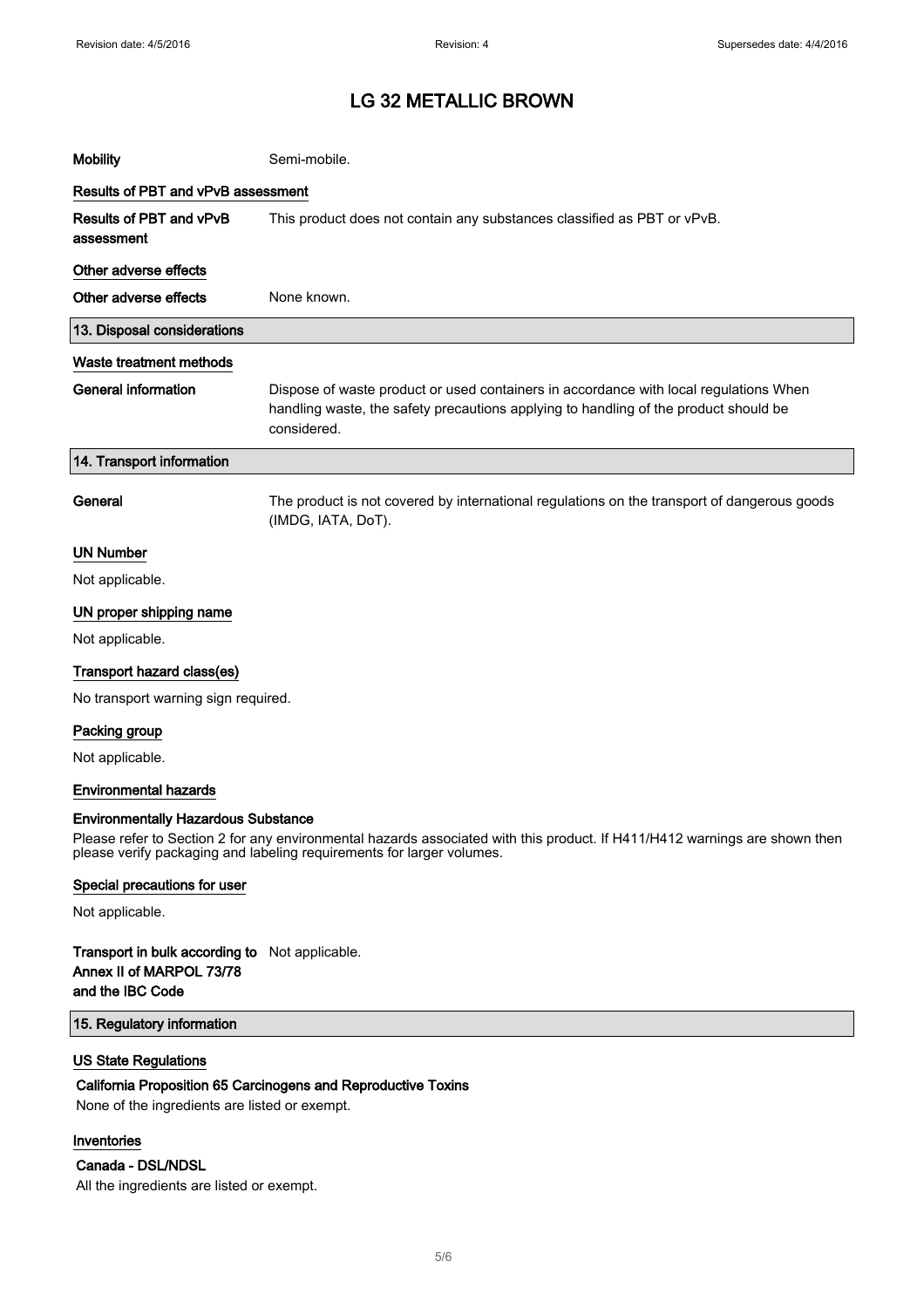| <b>Mobility</b>                       | Semi-mobile.                                                                                                                                                                                 |  |
|---------------------------------------|----------------------------------------------------------------------------------------------------------------------------------------------------------------------------------------------|--|
| Results of PBT and vPvB assessment    |                                                                                                                                                                                              |  |
| Results of PBT and vPvB<br>assessment | This product does not contain any substances classified as PBT or vPvB.                                                                                                                      |  |
| Other adverse effects                 |                                                                                                                                                                                              |  |
| Other adverse effects                 | None known.                                                                                                                                                                                  |  |
| 13. Disposal considerations           |                                                                                                                                                                                              |  |
| Waste treatment methods               |                                                                                                                                                                                              |  |
| <b>General information</b>            | Dispose of waste product or used containers in accordance with local regulations When<br>handling waste, the safety precautions applying to handling of the product should be<br>considered. |  |
| 14. Transport information             |                                                                                                                                                                                              |  |
| General                               | The product is not covered by international regulations on the transport of dangerous goods<br>(IMDG, IATA, DoT).                                                                            |  |
| <b>UN Number</b>                      |                                                                                                                                                                                              |  |
| Not applicable.                       |                                                                                                                                                                                              |  |
| UN proper shipping name               |                                                                                                                                                                                              |  |
| Not applicable.                       |                                                                                                                                                                                              |  |
| Transport hazard class(es)            |                                                                                                                                                                                              |  |
| No transport warning sign required.   |                                                                                                                                                                                              |  |
| Packing group                         |                                                                                                                                                                                              |  |
| Not applicable.                       |                                                                                                                                                                                              |  |
| <b>Environmental hazards</b>          |                                                                                                                                                                                              |  |

#### Environmentally Hazardous Substance

Please refer to Section 2 for any environmental hazards associated with this product. If H411/H412 warnings are shown then please verify packaging and labeling requirements for larger volumes.

#### Special precautions for user

Not applicable.

#### Transport in bulk according to Not applicable. Annex II of MARPOL 73/78 and the IBC Code

#### 15. Regulatory information

#### US State Regulations

#### California Proposition 65 Carcinogens and Reproductive Toxins

None of the ingredients are listed or exempt.

#### Inventories

#### Canada - DSL/NDSL

All the ingredients are listed or exempt.